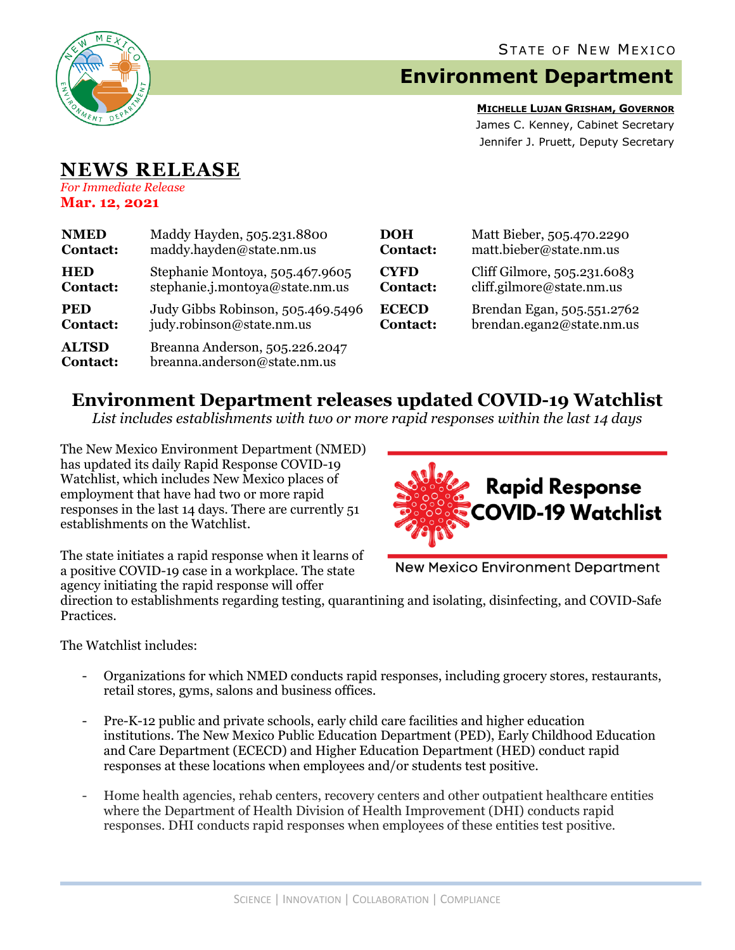

# **Environment Department**

**MICHELLE LUJAN GRISHAM, GOVERNOR** James C. Kenney, Cabinet Secretary Jennifer J. Pruett, Deputy Secretary

## **NEWS RELEASE** *For Immediate Release*

**Mar. 12, 2021**

| <b>NMED</b>                     | Maddy Hayden, 505.231.8800                                     | <b>DOH</b>      | Matt Bieber, 505.470.2290   |
|---------------------------------|----------------------------------------------------------------|-----------------|-----------------------------|
| <b>Contact:</b>                 | maddy.hayden@state.nm.us                                       | <b>Contact:</b> | matt.bieber@state.nm.us     |
| <b>HED</b>                      | Stephanie Montoya, 505.467.9605                                | <b>CYFD</b>     | Cliff Gilmore, 505.231.6083 |
| <b>Contact:</b>                 | stephanie.j.montoya@state.nm.us                                | <b>Contact:</b> | cliff.gilmore@state.nm.us   |
| <b>PED</b>                      | Judy Gibbs Robinson, 505.469.5496                              | <b>ECECD</b>    | Brendan Egan, 505.551.2762  |
| <b>Contact:</b>                 | judy.robinson@state.nm.us                                      | <b>Contact:</b> | brendan.egan2@state.nm.us   |
| <b>ALTSD</b><br><b>Contact:</b> | Breanna Anderson, 505.226.2047<br>breanna.anderson@state.nm.us |                 |                             |

# **Environment Department releases updated COVID-19 Watchlist**

*List includes establishments with two or more rapid responses within the last 14 days*

The New Mexico Environment Department (NMED) has updated its daily Rapid Response COVID-19 Watchlist, which includes New Mexico places of employment that have had two or more rapid responses in the last 14 days. There are currently 51 establishments on the Watchlist.



The state initiates a rapid response when it learns of a positive COVID-19 case in a workplace. The state agency initiating the rapid response will offer

**New Mexico Environment Department** 

direction to establishments regarding testing, quarantining and isolating, disinfecting, and COVID-Safe Practices.

The Watchlist includes:

- Organizations for which NMED conducts rapid responses, including grocery stores, restaurants, retail stores, gyms, salons and business offices.
- Pre-K-12 public and private schools, early child care facilities and higher education institutions. The New Mexico Public Education Department (PED), Early Childhood Education and Care Department (ECECD) and Higher Education Department (HED) conduct rapid responses at these locations when employees and/or students test positive.
- Home health agencies, rehab centers, recovery centers and other outpatient healthcare entities where the Department of Health Division of Health Improvement (DHI) conducts rapid responses. DHI conducts rapid responses when employees of these entities test positive.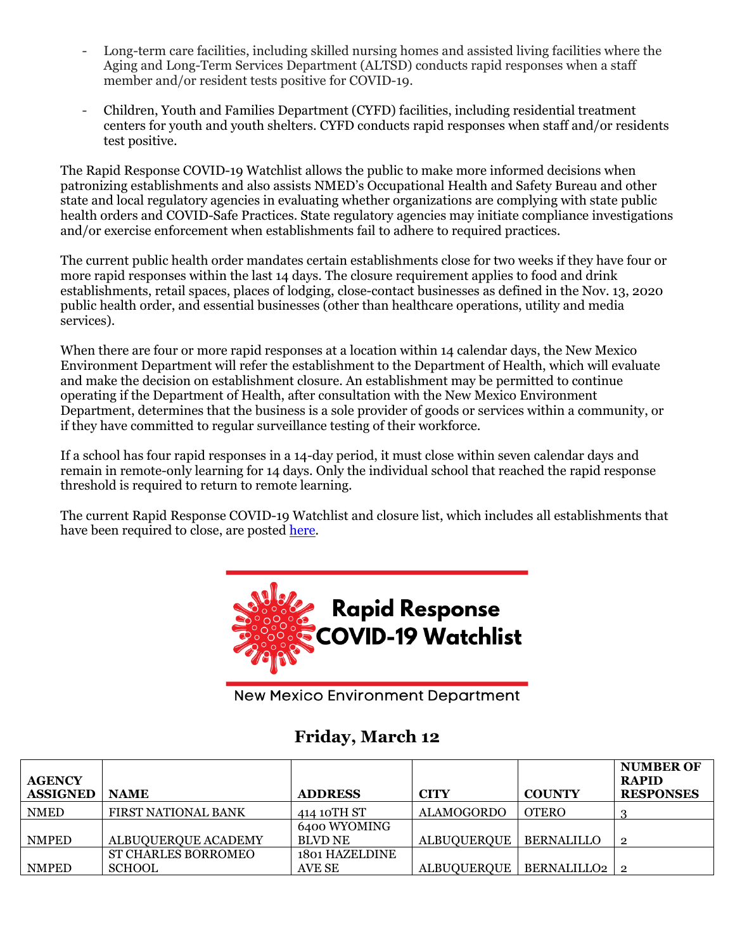- Long-term care facilities, including skilled nursing homes and assisted living facilities where the Aging and Long-Term Services Department (ALTSD) conducts rapid responses when a staff member and/or resident tests positive for COVID-19.
- Children, Youth and Families Department (CYFD) facilities, including residential treatment centers for youth and youth shelters. CYFD conducts rapid responses when staff and/or residents test positive.

The Rapid Response COVID-19 Watchlist allows the public to make more informed decisions when patronizing establishments and also assists NMED's Occupational Health and Safety Bureau and other state and local regulatory agencies in evaluating whether organizations are complying with state public health orders and COVID-Safe Practices. State regulatory agencies may initiate compliance investigations and/or exercise enforcement when establishments fail to adhere to required practices.

The current public health order mandates certain establishments close for two weeks if they have four or more rapid responses within the last 14 days. The closure requirement applies to food and drink establishments, retail spaces, places of lodging, close-contact businesses as defined in the Nov. 13, 2020 public health order, and essential businesses (other than healthcare operations, utility and media services).

When there are four or more rapid responses at a location within 14 calendar days, the New Mexico Environment Department will refer the establishment to the Department of Health, which will evaluate and make the decision on establishment closure. An establishment may be permitted to continue operating if the Department of Health, after consultation with the New Mexico Environment Department, determines that the business is a sole provider of goods or services within a community, or if they have committed to regular surveillance testing of their workforce.

If a school has four rapid responses in a 14-day period, it must close within seven calendar days and remain in remote-only learning for 14 days. Only the individual school that reached the rapid response threshold is required to return to remote learning.

The current Rapid Response COVID-19 Watchlist and closure list, which includes all establishments that have been required to close, are posted [here.](https://www.env.nm.gov/rapid-response-data/)



**New Mexico Environment Department** 

## **Friday, March 12**

| <b>AGENCY</b><br><b>ASSIGNED</b> | <b>NAME</b>                | <b>ADDRESS</b>        | <b>CITY</b>        | <b>COUNTY</b>     | <b>NUMBER OF</b><br><b>RAPID</b><br><b>RESPONSES</b> |
|----------------------------------|----------------------------|-----------------------|--------------------|-------------------|------------------------------------------------------|
| <b>NMED</b>                      | <b>FIRST NATIONAL BANK</b> | 414 10TH ST           | <b>ALAMOGORDO</b>  | <b>OTERO</b>      |                                                      |
|                                  |                            | 6400 WYOMING          |                    |                   |                                                      |
| <b>NMPED</b>                     | ALBUOUEROUE ACADEMY        | <b>BLVD NE</b>        | ALBUQUERQUE        | <b>BERNALILLO</b> | $\mathbf{2}$                                         |
|                                  | <b>ST CHARLES BORROMEO</b> | <b>1801 HAZELDINE</b> |                    |                   |                                                      |
| <b>NMPED</b>                     | <b>SCHOOL</b>              | AVE SE                | <b>ALBUQUERQUE</b> | BERNALILLO2 2     |                                                      |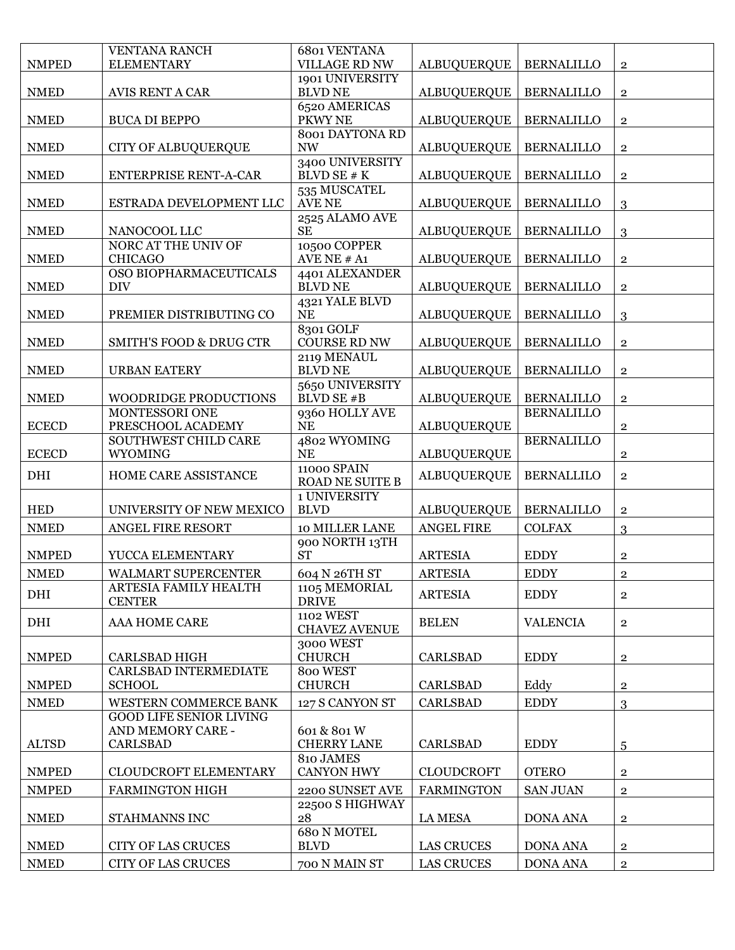|              | <b>VENTANA RANCH</b>                   | <b>6801 VENTANA</b>                   |                    |                   |                |
|--------------|----------------------------------------|---------------------------------------|--------------------|-------------------|----------------|
| <b>NMPED</b> | <b>ELEMENTARY</b>                      | <b>VILLAGE RD NW</b>                  | <b>ALBUQUERQUE</b> | <b>BERNALILLO</b> | $\mathbf{2}$   |
| <b>NMED</b>  | AVIS RENT A CAR                        | 1901 UNIVERSITY<br><b>BLVD NE</b>     | <b>ALBUQUERQUE</b> | <b>BERNALILLO</b> | $\mathbf 2$    |
| <b>NMED</b>  | <b>BUCA DI BEPPO</b>                   | 6520 AMERICAS<br>PKWY NE              | <b>ALBUQUERQUE</b> | <b>BERNALILLO</b> | $\mathbf{2}$   |
|              |                                        | <b>8001 DAYTONA RD</b>                |                    |                   |                |
| <b>NMED</b>  | <b>CITY OF ALBUQUERQUE</b>             | $\ensuremath{\text{NW}}$              | <b>ALBUQUERQUE</b> | <b>BERNALILLO</b> | $\overline{2}$ |
| <b>NMED</b>  | <b>ENTERPRISE RENT-A-CAR</b>           | 3400 UNIVERSITY<br>BLVD SE # K        | <b>ALBUQUERQUE</b> | <b>BERNALILLO</b> | $\overline{2}$ |
| <b>NMED</b>  | ESTRADA DEVELOPMENT LLC                | 535 MUSCATEL<br>AVE NE                | <b>ALBUQUERQUE</b> | <b>BERNALILLO</b> | 3              |
| <b>NMED</b>  | NANOCOOL LLC                           | 2525 ALAMO AVE<br><b>SE</b>           | <b>ALBUQUERQUE</b> | <b>BERNALILLO</b> | 3              |
|              | NORC AT THE UNIV OF                    | 10500 COPPER                          |                    |                   |                |
| <b>NMED</b>  | <b>CHICAGO</b>                         | AVE NE # A1                           | <b>ALBUQUERQUE</b> | <b>BERNALILLO</b> | $\mathbf 2$    |
| <b>NMED</b>  | OSO BIOPHARMACEUTICALS<br><b>DIV</b>   | 4401 ALEXANDER<br><b>BLVD NE</b>      | <b>ALBUQUERQUE</b> | <b>BERNALILLO</b> | $\mathbf{2}$   |
| <b>NMED</b>  | PREMIER DISTRIBUTING CO                | 4321 YALE BLVD<br><b>NE</b>           | <b>ALBUQUERQUE</b> | <b>BERNALILLO</b> | 3              |
| <b>NMED</b>  | <b>SMITH'S FOOD &amp; DRUG CTR</b>     | 8301 GOLF<br><b>COURSE RD NW</b>      | <b>ALBUQUERQUE</b> | <b>BERNALILLO</b> | $\bf 2$        |
| <b>NMED</b>  | <b>URBAN EATERY</b>                    | 2119 MENAUL<br><b>BLVD NE</b>         | <b>ALBUQUERQUE</b> | <b>BERNALILLO</b> | $\overline{2}$ |
|              |                                        | 5650 UNIVERSITY                       |                    |                   |                |
| <b>NMED</b>  | <b>WOODRIDGE PRODUCTIONS</b>           | BLVD SE #B                            | <b>ALBUQUERQUE</b> | <b>BERNALILLO</b> | $\overline{2}$ |
| <b>ECECD</b> | MONTESSORI ONE<br>PRESCHOOL ACADEMY    | 9360 HOLLY AVE<br><b>NE</b>           | <b>ALBUQUERQUE</b> | <b>BERNALILLO</b> | $\mathbf{2}$   |
|              | SOUTHWEST CHILD CARE                   | 4802 WYOMING                          |                    | <b>BERNALILLO</b> |                |
| <b>ECECD</b> | <b>WYOMING</b>                         | <b>NE</b>                             | <b>ALBUQUERQUE</b> |                   | $\mathbf 2$    |
| DHI          | HOME CARE ASSISTANCE                   | 11000 SPAIN<br><b>ROAD NE SUITE B</b> | <b>ALBUQUERQUE</b> | <b>BERNALLILO</b> | $\overline{2}$ |
| <b>HED</b>   | UNIVERSITY OF NEW MEXICO               | 1 UNIVERSITY<br><b>BLVD</b>           | <b>ALBUQUERQUE</b> | <b>BERNALILLO</b> | $\overline{2}$ |
| <b>NMED</b>  | ANGEL FIRE RESORT                      | 10 MILLER LANE                        | ANGEL FIRE         | <b>COLFAX</b>     | 3              |
| <b>NMPED</b> | YUCCA ELEMENTARY                       | 900 NORTH 13TH<br><b>ST</b>           | <b>ARTESIA</b>     | <b>EDDY</b>       | $\mathbf{2}$   |
| <b>NMED</b>  | <b>WALMART SUPERCENTER</b>             | 604 N 26TH ST                         | <b>ARTESIA</b>     | <b>EDDY</b>       | $\overline{2}$ |
| DHI          | ARTESIA FAMILY HEALTH<br><b>CENTER</b> | 1105 MEMORIAL<br><b>DRIVE</b>         | <b>ARTESIA</b>     | <b>EDDY</b>       | $\overline{2}$ |
| DHI          | AAA HOME CARE                          | 1102 WEST<br><b>CHAVEZ AVENUE</b>     | <b>BELEN</b>       | <b>VALENCIA</b>   | $\overline{2}$ |
| <b>NMPED</b> | CARLSBAD HIGH                          | 3000 WEST<br><b>CHURCH</b>            | <b>CARLSBAD</b>    | <b>EDDY</b>       | $\mathbf{2}$   |
|              | CARLSBAD INTERMEDIATE                  | 800 WEST                              |                    |                   |                |
| <b>NMPED</b> | <b>SCHOOL</b>                          | <b>CHURCH</b>                         | <b>CARLSBAD</b>    | Eddy              | $\overline{2}$ |
| <b>NMED</b>  | <b>WESTERN COMMERCE BANK</b>           | 127 S CANYON ST                       | <b>CARLSBAD</b>    | <b>EDDY</b>       | 3              |
|              | <b>GOOD LIFE SENIOR LIVING</b>         |                                       |                    |                   |                |
| <b>ALTSD</b> | AND MEMORY CARE -<br><b>CARLSBAD</b>   | 601 & 801 W<br><b>CHERRY LANE</b>     | <b>CARLSBAD</b>    | <b>EDDY</b>       | 5              |
|              |                                        | 810 JAMES                             |                    |                   |                |
| <b>NMPED</b> | <b>CLOUDCROFT ELEMENTARY</b>           | <b>CANYON HWY</b>                     | <b>CLOUDCROFT</b>  | <b>OTERO</b>      | $\mathbf{2}$   |
| <b>NMPED</b> | <b>FARMINGTON HIGH</b>                 | 2200 SUNSET AVE                       | <b>FARMINGTON</b>  | <b>SAN JUAN</b>   | $\bf 2$        |
|              |                                        | 22500 S HIGHWAY                       |                    |                   |                |
| <b>NMED</b>  | STAHMANNS INC                          | 28<br><b>680 N MOTEL</b>              | <b>LA MESA</b>     | <b>DONA ANA</b>   | $\bf 2$        |
| <b>NMED</b>  | <b>CITY OF LAS CRUCES</b>              | <b>BLVD</b>                           | <b>LAS CRUCES</b>  | <b>DONA ANA</b>   | $\mathbf{2}$   |
| <b>NMED</b>  | <b>CITY OF LAS CRUCES</b>              | 700 N MAIN ST                         | <b>LAS CRUCES</b>  | <b>DONA ANA</b>   | $\overline{2}$ |
|              |                                        |                                       |                    |                   |                |